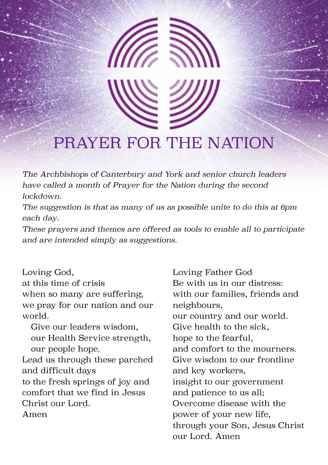# PRAYER FOR THE NATION

*The Archbishops of Canterbury and York and senior church leaders have called a month of Prayer for the Nation during the second lockdown.*

*The suggestion is that as many of us as possible unite to do this at 6pm each day.*

*These prayers and themes are offered as tools to enable all to participate and are intended simply as suggestions.*

Loving God, at this time of crisis when so many are suffering, we pray for our nation and our world.

Give our leaders wisdom, our Health Service strength, our people hope. Lead us through these parched

and difficult days to the fresh springs of joy and comfort that we find in Jesus Christ our Lord. Amen

Loving Father God Be with us in our distress: with our families, friends and neighbours, our country and our world. Give health to the sick, hope to the fearful, and comfort to the mourners. Give wisdom to our frontline and key workers, insight to our government and patience to us all; Overcome disease with the power of your new life, through your Son, Jesus Christ our Lord. Amen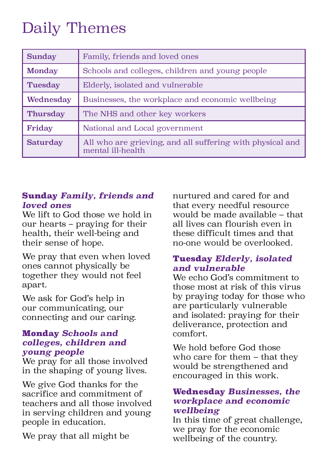# Daily Themes

| <b>Sunday</b>  | Family, friends and loved ones                                                 |
|----------------|--------------------------------------------------------------------------------|
| <b>Monday</b>  | Schools and colleges, children and young people                                |
| <b>Tuesday</b> | Elderly, isolated and vulnerable                                               |
| Wednesday      | Businesses, the workplace and economic wellbeing                               |
| Thursday       | The NHS and other key workers                                                  |
| Friday         | National and Local government                                                  |
| Saturday       | All who are grieving, and all suffering with physical and<br>mental ill-health |

### Sunday *Family, friends and loved ones*

We lift to God those we hold in our hearts – praying for their health, their well-being and their sense of hope.

We pray that even when loved ones cannot physically be together they would not feel apart.

We ask for God's help in our communicating, our connecting and our caring.

### Monday *Schools and colleges, children and young people*

We pray for all those involved in the shaping of young lives.

We give God thanks for the sacrifice and commitment of teachers and all those involved in serving children and young people in education.

We pray that all might be

nurtured and cared for and that every needful resource would be made available – that all lives can flourish even in these difficult times and that no-one would be overlooked.

## Tuesday *Elderly, isolated and vulnerable*

We echo God's commitment to those most at risk of this virus by praying today for those who are particularly vulnerable and isolated: praying for their deliverance, protection and comfort.

We hold before God those who care for them – that they would be strengthened and encouraged in this work.

### Wednesday *Businesses, the workplace and economic wellbeing*

In this time of great challenge, we pray for the economic wellbeing of the country.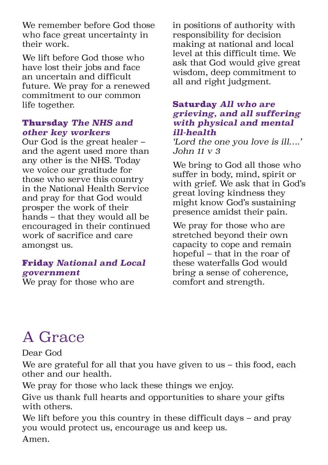We remember before God those who face great uncertainty in their work.

We lift before God those who have lost their jobs and face an uncertain and difficult future. We pray for a renewed commitment to our common life together.

#### Thursday *The NHS and other key workers*

Our God is the great healer – and the agent used more than any other is the NHS. Today we voice our gratitude for those who serve this country in the National Health Service and pray for that God would prosper the work of their hands – that they would all be encouraged in their continued work of sacrifice and care amongst us.

## Friday *National and Local government*

We pray for those who are

in positions of authority with responsibility for decision making at national and local level at this difficult time. We ask that God would give great wisdom, deep commitment to all and right judgment.

#### Saturday *All who are grieving, and all suffering with physical and mental ill-health*

*'Lord the one you love is ill….' John 11 v 3*

We bring to God all those who suffer in body, mind, spirit or with grief. We ask that in God's great loving kindness they might know God's sustaining presence amidst their pain.

We pray for those who are stretched beyond their own capacity to cope and remain hopeful – that in the roar of these waterfalls God would bring a sense of coherence, comfort and strength.

# A Grace

Dear God

We are grateful for all that you have given to us – this food, each other and our health.

We pray for those who lack these things we enjoy.

Give us thank full hearts and opportunities to share your gifts with others.

We lift before you this country in these difficult days – and pray you would protect us, encourage us and keep us.

Amen.